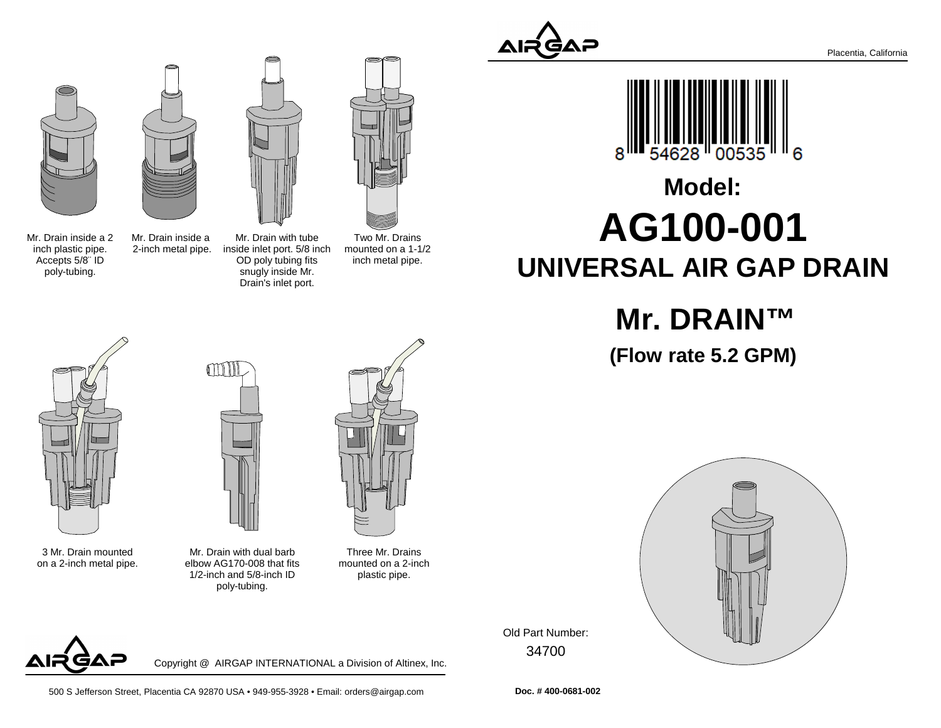





Mr. Drain inside a 2inch plastic pipe.Accepts 5/8¨ IDpoly-tubing.

Mr. Drain inside a 2-inch metal pipe.Mr. Drain with tube inside inlet port. 5/8 inchOD poly tubing fits snugly inside Mr.Drain's inlet port.

Two Mr. Drains mounted on a 1-1/2inch metal pipe.



# **AG100-001 UNIVERSAL AIR GAP DRAINModel:**

## **Mr. DRAIN™**

**(Flow rate 5.2 GPM)**



3 Mr. Drain mountedon a 2-inch metal pipe.



Mr. Drain with dual barb elbow AG170-008 that fits 1/2-inch and 5/8-inch IDpoly-tubing.

Three Mr. Drains mounted on a 2-inchplastic pipe.



Copyright @ AIRGAP INTERNATIONAL a Division of Altinex, Inc.

34700Old Part Number:



**Doc. # 400-0681-002**

500 S Jefferson Street, Placentia CA 92870 USA • 949-955-3928 • Email: orders@airgap.com